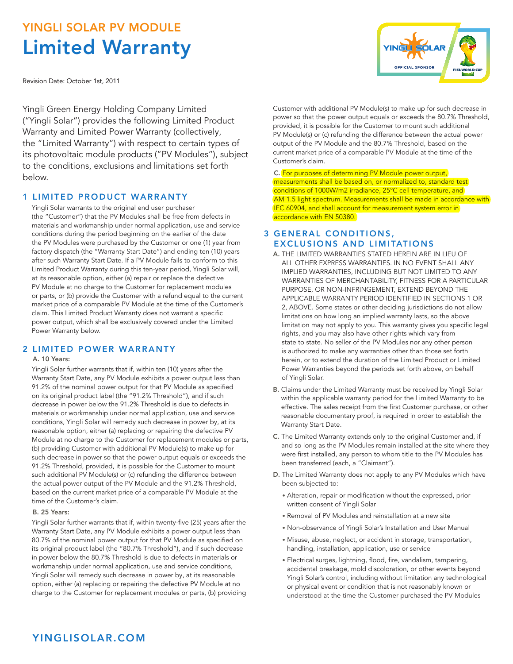# YINGLI SOLAR PV MODULE Limited Warranty

Revision Date: October 1st, 2011

Yingli Green Energy Holding Company Limited ("Yingli Solar") provides the following Limited Product Warranty and Limited Power Warranty (collectively, the "Limited Warranty") with respect to certain types of its photovoltaic module products ("PV Modules"), subject to the conditions, exclusions and limitations set forth below.

## 1 LIMITED PRODUCT WARRANTY

 Yingli Solar warrants to the original end user purchaser (the "Customer") that the PV Modules shall be free from defects in materials and workmanship under normal application, use and service conditions during the period beginning on the earlier of the date the PV Modules were purchased by the Customer or one (1) year from factory dispatch (the "Warranty Start Date") and ending ten (10) years after such Warranty Start Date. If a PV Module fails to conform to this Limited Product Warranty during this ten-year period, Yingli Solar will, at its reasonable option, either (a) repair or replace the defective PV Module at no charge to the Customer for replacement modules or parts, or (b) provide the Customer with a refund equal to the current market price of a comparable PV Module at the time of the Customer's claim. This Limited Product Warranty does not warrant a specific power output, which shall be exclusively covered under the Limited Power Warranty below.

## 2 LIMITED POWER WARRANTY

### A. 10 Years:

 Yingli Solar further warrants that if, within ten (10) years after the Warranty Start Date, any PV Module exhibits a power output less than 91.2% of the nominal power output for that PV Module as specified on its original product label (the "91.2% Threshold"), and if such decrease in power below the 91.2% Threshold is due to defects in materials or workmanship under normal application, use and service conditions, Yingli Solar will remedy such decrease in power by, at its reasonable option, either (a) replacing or repairing the defective PV Module at no charge to the Customer for replacement modules or parts, (b) providing Customer with additional PV Module(s) to make up for such decrease in power so that the power output equals or exceeds the 91.2% Threshold, provided, it is possible for the Customer to mount such additional PV Module(s) or (c) refunding the difference between the actual power output of the PV Module and the 91.2% Threshold, based on the current market price of a comparable PV Module at the time of the Customer's claim.

#### B. 25 Years:

Yingli Solar further warrants that if, within twenty-five (25) years after the Warranty Start Date, any PV Module exhibits a power output less than 80.7% of the nominal power output for that PV Module as specified on its original product label (the "80.7% Threshold"), and if such decrease in power below the 80.7% Threshold is due to defects in materials or workmanship under normal application, use and service conditions, Yingli Solar will remedy such decrease in power by, at its reasonable option, either (a) replacing or repairing the defective PV Module at no charge to the Customer for replacement modules or parts, (b) providing **YINGLI SOLAR OFFICIAL SPONSOR** 

Customer with additional PV Module(s) to make up for such decrease in power so that the power output equals or exceeds the 80.7% Threshold, provided, it is possible for the Customer to mount such additional PV Module(s) or (c) refunding the difference between the actual power output of the PV Module and the 80.7% Threshold, based on the current market price of a comparable PV Module at the time of the Customer's claim.

C. For purposes of determining PV Module power output, measurements shall be based on, or normalized to, standard test conditions of 1000W/m2 irradiance, 25°C cell temperature, and AM 1.5 light spectrum. Measurements shall be made in accordance with IEC 60904, and shall account for measurement system error in accordance with EN 50380.

# **3 GENERAL CONDITIONS,** EXCLUSIONS AND LIMITATIONS

- A. THE LIMITED WARRANTIES STATED HEREIN ARE IN LIEU OF ALL OTHER EXPRESS WARRANTIES. IN NO EVENT SHALL ANY IMPLIED WARRANTIES, INCLUDING BUT NOT LIMITED TO ANY WARRANTIES OF MERCHANTABILITY, FITNESS FOR A PARTICULAR PURPOSE, OR NON-INFRINGEMENT, EXTEND BEYOND THE APPLICABLE WARRANTY PERIOD IDENTIFIED IN SECTIONS 1 OR 2, ABOVE. Some states or other deciding jurisdictions do not allow limitations on how long an implied warranty lasts, so the above limitation may not apply to you. This warranty gives you specific legal rights, and you may also have other rights which vary from state to state. No seller of the PV Modules nor any other person is authorized to make any warranties other than those set forth herein, or to extend the duration of the Limited Product or Limited Power Warranties beyond the periods set forth above, on behalf of Yingli Solar.
- B. Claims under the Limited Warranty must be received by Yingli Solar within the applicable warranty period for the Limited Warranty to be effective. The sales receipt from the first Customer purchase, or other reasonable documentary proof, is required in order to establish the Warranty Start Date.
- C. The Limited Warranty extends only to the original Customer and, if and so long as the PV Modules remain installed at the site where they were first installed, any person to whom title to the PV Modules has been transferred (each, a "Claimant").
- D. The Limited Warranty does not apply to any PV Modules which have been subjected to:
	- Alteration, repair or modification without the expressed, prior written consent of Yingli Solar
	- Removal of PV Modules and reinstallation at a new site
	- Non-observance of Yingli Solar's Installation and User Manual
	- Misuse, abuse, neglect, or accident in storage, transportation, handling, installation, application, use or service
	- Electrical surges, lightning, flood, fire, vandalism, tampering, accidental breakage, mold discoloration, or other events beyond Yingli Solar's control, including without limitation any technological or physical event or condition that is not reasonably known or understood at the time the Customer purchased the PV Modules

# YINGLISOLAR.COM